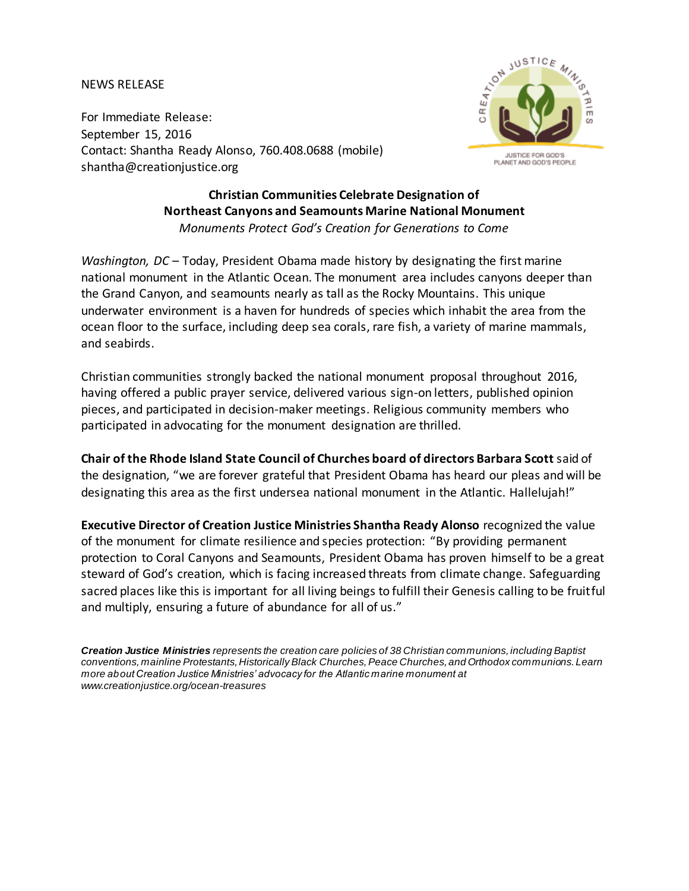## NEWS RELEASE

For Immediate Release: September 15, 2016 Contact: Shantha Ready Alonso, 760.408.0688 (mobile) shantha@creationjustice.org



## **Christian Communities Celebrate Designation of Northeast Canyons and Seamounts Marine National Monument** *Monuments Protect God's Creation for Generations to Come*

*Washington, DC* – Today, President Obama made history by designating the first marine national monument in the Atlantic Ocean. The monument area includes canyons deeper than the Grand Canyon, and seamounts nearly as tall as the Rocky Mountains. This unique underwater environment is a haven for hundreds of species which inhabit the area from the ocean floor to the surface, including deep sea corals, rare fish, a variety of marine mammals, and seabirds.

Christian communities strongly backed the national monument proposal throughout 2016, having offered a public prayer service, delivered various sign-on letters, published opinion pieces, and participated in decision-maker meetings. Religious community members who participated in advocating for the monument designation are thrilled.

**Chair of the Rhode Island State Council of Churches board of directors Barbara Scott** said of the designation, "we are forever grateful that President Obama has heard our pleas and will be designating this area as the first undersea national monument in the Atlantic. Hallelujah!"

**Executive Director of Creation Justice Ministries Shantha Ready Alonso** recognized the value of the monument for climate resilience and species protection: "By providing permanent protection to Coral Canyons and Seamounts, President Obama has proven himself to be a great steward of God's creation, which is facing increased threats from climate change. Safeguarding sacred places like this is important for all living beings to fulfill their Genesis calling to be fruitful and multiply, ensuring a future of abundance for all of us."

*Creation Justice Ministries represents the creation care policies of 38 Christian communions, including Baptist conventions, mainline Protestants, Historically Black Churches, Peace Churches, and Orthodox communions. Learn more about Creation Justice Ministries' advocacy for the Atlantic marine monument at [www.creationjustice.org/](http://org.salsalabs.com/dia/track.jsp?v=2&c=AzDTHkvM%2Bb9Qtp7J7QZYGwMHxo5ivBUU)ocean-treasures*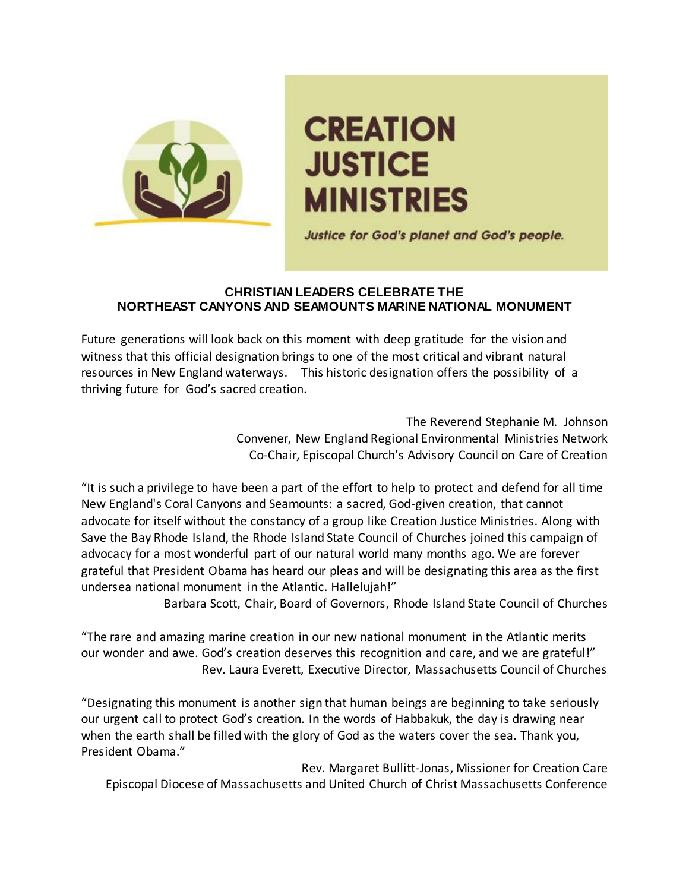

## **CREATION JUSTICE MINISTRIES**

Justice for God's planet and God's people.

## **CHRISTIAN LEADERS CELEBRATE THE NORTHEAST CANYONS AND SEAMOUNTS MARINE NATIONAL MONUMENT**

Future generations will look back on this moment with deep gratitude for the vision and witness that this official designation brings to one of the most critical and vibrant natural resources in New England waterways. This historic designation offers the possibility of a thriving future for God's sacred creation.

> The Reverend Stephanie M. Johnson Convener, New England Regional Environmental Ministries Network Co-Chair, Episcopal Church's Advisory Council on Care of Creation

"It is such a privilege to have been a part of the effort to help to protect and defend for all time New England's Coral Canyons and Seamounts: a sacred, God-given creation, that cannot advocate for itself without the constancy of a group like Creation Justice Ministries. Along with Save the Bay Rhode Island, the Rhode Island State Council of Churches joined this campaign of advocacy for a most wonderful part of our natural world many months ago. We are forever grateful that President Obama has heard our pleas and will be designating this area as the first undersea national monument in the Atlantic. Hallelujah!"

Barbara Scott, Chair, Board of Governors, Rhode Island State Council of Churches

"The rare and amazing marine creation in our new national monument in the Atlantic merits our wonder and awe. God's creation deserves this recognition and care, and we are grateful!" Rev. Laura Everett, Executive Director, Massachusetts Council of Churches

"Designating this monument is another sign that human beings are beginning to take seriously our urgent call to protect God's creation. In the words of Habbakuk, the day is drawing near when the earth shall be filled with the glory of God as the waters cover the sea. Thank you, President Obama."

Rev. Margaret Bullitt-Jonas, Missioner for Creation Care Episcopal Diocese of Massachusetts and United Church of Christ Massachusetts Conference